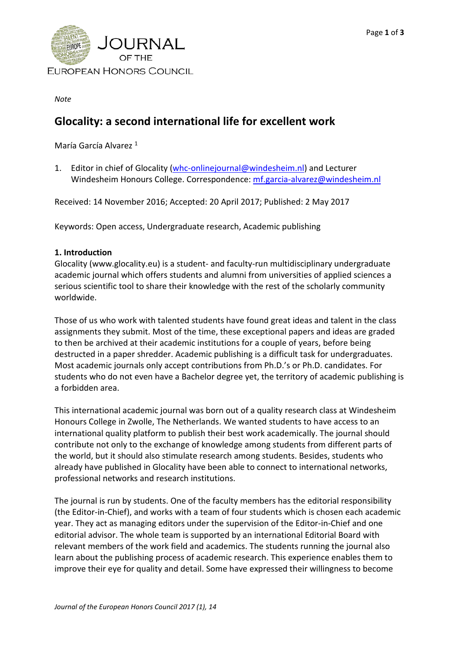

*Note*

## **Glocality: a second international life for excellent work**

María García Alvarez 1

1. Editor in chief of Glocality [\(whc-onlinejournal@windesheim.nl\)](mailto:whc-onlinejournal@windesheim.nl) and Lecturer Windesheim Honours College. Correspondence: [mf.garcia-alvarez@windesheim.nl](mailto:mf.garcia-alvarez@windesheim.nl)

Received: 14 November 2016; Accepted: 20 April 2017; Published: 2 May 2017

Keywords: Open access, Undergraduate research, Academic publishing

## **1. Introduction**

Glocality (www.glocality.eu) is a student- and faculty-run multidisciplinary undergraduate academic journal which offers students and alumni from universities of applied sciences a serious scientific tool to share their knowledge with the rest of the scholarly community worldwide.

Those of us who work with talented students have found great ideas and talent in the class assignments they submit. Most of the time, these exceptional papers and ideas are graded to then be archived at their academic institutions for a couple of years, before being destructed in a paper shredder. Academic publishing is a difficult task for undergraduates. Most academic journals only accept contributions from Ph.D.'s or Ph.D. candidates. For students who do not even have a Bachelor degree yet, the territory of academic publishing is a forbidden area.

This international academic journal was born out of a quality research class at Windesheim Honours College in Zwolle, The Netherlands. We wanted students to have access to an international quality platform to publish their best work academically. The journal should contribute not only to the exchange of knowledge among students from different parts of the world, but it should also stimulate research among students. Besides, students who already have published in Glocality have been able to connect to international networks, professional networks and research institutions.

The journal is run by students. One of the faculty members has the editorial responsibility (the Editor-in-Chief), and works with a team of four students which is chosen each academic year. They act as managing editors under the supervision of the Editor-in-Chief and one editorial advisor. The whole team is supported by an international Editorial Board with relevant members of the work field and academics. The students running the journal also learn about the publishing process of academic research. This experience enables them to improve their eye for quality and detail. Some have expressed their willingness to become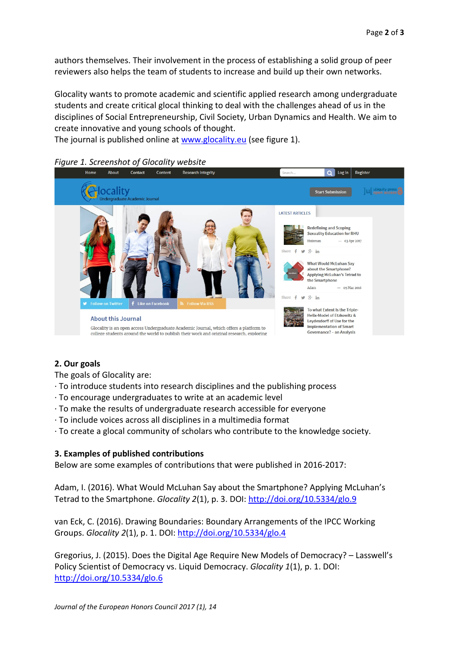authors themselves. Their involvement in the process of establishing a solid group of peer reviewers also helps the team of students to increase and build up their own networks.

Glocality wants to promote academic and scientific applied research among undergraduate students and create critical glocal thinking to deal with the challenges ahead of us in the disciplines of Social Entrepreneurship, Civil Society, Urban Dynamics and Health. We aim to create innovative and young schools of thought.

The journal is published online at [www.glocality.eu](http://www.glocality.eu/) (see figure 1).



## **2. Our goals**

The goals of Glocality are:

· To introduce students into research disciplines and the publishing process

- · To encourage undergraduates to write at an academic level
- · To make the results of undergraduate research accessible for everyone
- · To include voices across all disciplines in a multimedia format
- · To create a glocal community of scholars who contribute to the knowledge society.

## **3. Examples of published contributions**

Below are some examples of contributions that were published in 2016-2017:

Adam, I. (2016). What Would McLuhan Say about the Smartphone? Applying McLuhan's Tetrad to the Smartphone. *Glocality 2*(1), p. 3. DOI: <http://doi.org/10.5334/glo.9>

van Eck, C. (2016). Drawing Boundaries: Boundary Arrangements of the IPCC Working Groups. *Glocality 2*(1), p. 1. DOI:<http://doi.org/10.5334/glo.4>

Gregorius, J. (2015). Does the Digital Age Require New Models of Democracy? – Lasswell's Policy Scientist of Democracy vs. Liquid Democracy. *Glocality 1*(1), p. 1. DOI: <http://doi.org/10.5334/glo.6>